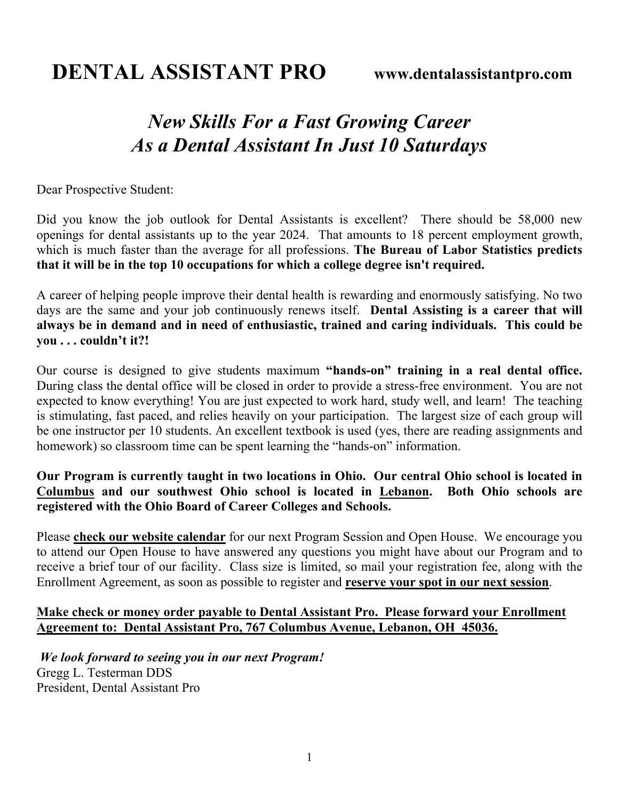## *New Skills For a Fast Growing Career As a Dental Assistant In Just 10 Saturdays*

Dear Prospective Student:

Did you know the job outlook for Dental Assistants is excellent? There should be 58,000 new openings for dental assistants up to the year 2024. That amounts to 18 percent employment growth, which is much faster than the average for all professions. **The Bureau of Labor Statistics predicts that it will be in the top 10 occupations for which a college degree isn't required.**

A career of helping people improve their dental health is rewarding and enormously satisfying. No two days are the same and your job continuously renews itself. **Dental Assisting is a career that will always be in demand and in need of enthusiastic, trained and caring individuals. This could be you . . . couldn't it?!**

Our course is designed to give students maximum **"hands-on" training in a real dental office.** During class the dental office will be closed in order to provide a stress-free environment. You are not expected to know everything! You are just expected to work hard, study well, and learn! The teaching is stimulating, fast paced, and relies heavily on your participation. The largest size of each group will be one instructor per 10 students. An excellent textbook is used (yes, there are reading assignments and homework) so classroom time can be spent learning the "hands-on" information.

## **Our Program is currently taught in two locations in Ohio. Our central Ohio school is located in Columbus and our southwest Ohio school is located in Lebanon. Both Ohio schools are registered with the Ohio Board of Career Colleges and Schools.**

Please **check our website calendar** for our next Program Session and Open House. We encourage you to attend our Open House to have answered any questions you might have about our Program and to receive a brief tour of our facility. Class size is limited, so mail your registration fee, along with the Enrollment Agreement, as soon as possible to register and **reserve your spot in our next session**.

## **Make check or money order payable to Dental Assistant Pro. Please forward your Enrollment Agreement to: Dental Assistant Pro, 767 Columbus Avenue, Lebanon, OH 45036.**

*We look forward to seeing you in our next Program!*  Gregg L. Testerman DDS President, Dental Assistant Pro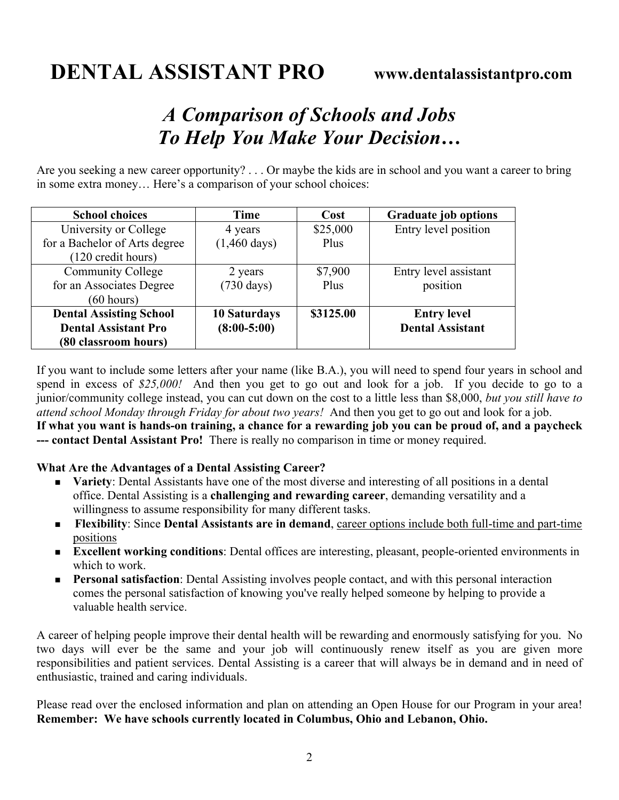## *A Comparison of Schools and Jobs To Help You Make Your Decision…*

Are you seeking a new career opportunity? . . . Or maybe the kids are in school and you want a career to bring in some extra money… Here's a comparison of your school choices:

| <b>School choices</b>          | Time                   | Cost      | <b>Graduate job options</b> |
|--------------------------------|------------------------|-----------|-----------------------------|
| University or College          | 4 years                | \$25,000  | Entry level position        |
| for a Bachelor of Arts degree  | $(1,460 \text{ days})$ | Plus      |                             |
| (120 credit hours)             |                        |           |                             |
| <b>Community College</b>       | 2 years                | \$7,900   | Entry level assistant       |
| for an Associates Degree       | $(730 \text{ days})$   | Plus      | position                    |
| (60 hours)                     |                        |           |                             |
| <b>Dental Assisting School</b> | <b>10 Saturdays</b>    | \$3125.00 | <b>Entry level</b>          |
| <b>Dental Assistant Pro</b>    | $(8:00-5:00)$          |           | <b>Dental Assistant</b>     |
| (80 classroom hours)           |                        |           |                             |

If you want to include some letters after your name (like B.A.), you will need to spend four years in school and spend in excess of \$25,000! And then you get to go out and look for a job. If you decide to go to a junior/community college instead, you can cut down on the cost to a little less than \$8,000, *but you still have to attend school Monday through Friday for about two years!* And then you get to go out and look for a job. **If what you want is hands-on training, a chance for a rewarding job you can be proud of, and a paycheck** 

**--- contact Dental Assistant Pro!** There is really no comparison in time or money required.

**What Are the Advantages of a Dental Assisting Career?**

- **Nariety**: Dental Assistants have one of the most diverse and interesting of all positions in a dental office. Dental Assisting is a **challenging and rewarding career**, demanding versatility and a willingness to assume responsibility for many different tasks.
- <sup>n</sup> **Flexibility**: Since **Dental Assistants are in demand**, career options include both full-time and part-time positions
- <sup>n</sup> **Excellent working conditions**: Dental offices are interesting, pleasant, people-oriented environments in which to work.
- **Personal satisfaction**: Dental Assisting involves people contact, and with this personal interaction comes the personal satisfaction of knowing you've really helped someone by helping to provide a valuable health service.

A career of helping people improve their dental health will be rewarding and enormously satisfying for you. No two days will ever be the same and your job will continuously renew itself as you are given more responsibilities and patient services. Dental Assisting is a career that will always be in demand and in need of enthusiastic, trained and caring individuals.

Please read over the enclosed information and plan on attending an Open House for our Program in your area! **Remember: We have schools currently located in Columbus, Ohio and Lebanon, Ohio.**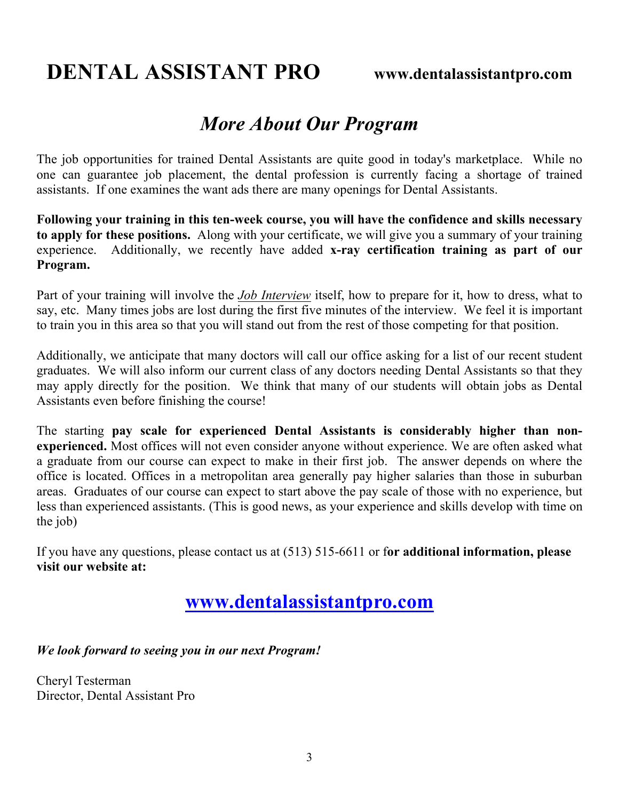# **DENTAL ASSISTANT PRO www.dentalassistantpro.com**

## *More About Our Program*

The job opportunities for trained Dental Assistants are quite good in today's marketplace. While no one can guarantee job placement, the dental profession is currently facing a shortage of trained assistants. If one examines the want ads there are many openings for Dental Assistants.

**Following your training in this ten-week course, you will have the confidence and skills necessary to apply for these positions.** Along with your certificate, we will give you a summary of your training experience. Additionally, we recently have added **x-ray certification training as part of our Program.**

Part of your training will involve the *Job Interview* itself, how to prepare for it, how to dress, what to say, etc. Many times jobs are lost during the first five minutes of the interview. We feel it is important to train you in this area so that you will stand out from the rest of those competing for that position.

Additionally, we anticipate that many doctors will call our office asking for a list of our recent student graduates. We will also inform our current class of any doctors needing Dental Assistants so that they may apply directly for the position. We think that many of our students will obtain jobs as Dental Assistants even before finishing the course!

The starting **pay scale for experienced Dental Assistants is considerably higher than nonexperienced.** Most offices will not even consider anyone without experience. We are often asked what a graduate from our course can expect to make in their first job. The answer depends on where the office is located. Offices in a metropolitan area generally pay higher salaries than those in suburban areas. Graduates of our course can expect to start above the pay scale of those with no experience, but less than experienced assistants. (This is good news, as your experience and skills develop with time on the job)

If you have any questions, please contact us at (513) 515-6611 or f**or additional information, please visit our website at:**

## **www.dentalassistantpro.com**

## *We look forward to seeing you in our next Program!*

Cheryl Testerman Director, Dental Assistant Pro